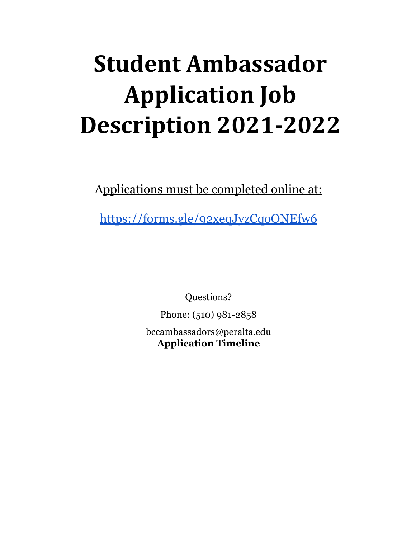# **Student Ambassador Application Job Description 2021-2022**

Applications must be completed online at:

<https://forms.gle/92xeqJyzCqoQNEfw6>

Questions?

Phone: (510) 981-2858

bccambassadors@peralta.edu **Application Timeline**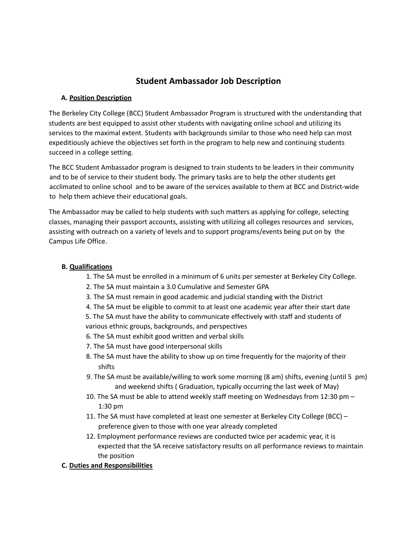# **Student Ambassador Job Description**

### **A. Position Description**

The Berkeley City College (BCC) Student Ambassador Program is structured with the understanding that students are best equipped to assist other students with navigating online school and utilizing its services to the maximal extent. Students with backgrounds similar to those who need help can most expeditiously achieve the objectives set forth in the program to help new and continuing students succeed in a college setting.

The BCC Student Ambassador program is designed to train students to be leaders in their community and to be of service to their student body. The primary tasks are to help the other students get acclimated to online school and to be aware of the services available to them at BCC and District-wide to help them achieve their educational goals.

The Ambassador may be called to help students with such matters as applying for college, selecting classes, managing their passport accounts, assisting with utilizing all colleges resources and services, assisting with outreach on a variety of levels and to support programs/events being put on by the Campus Life Office.

#### **B. Qualifications**

- 1. The SA must be enrolled in a minimum of 6 units per semester at Berkeley City College.
- 2. The SA must maintain a 3.0 Cumulative and Semester GPA
- 3. The SA must remain in good academic and judicial standing with the District
- 4. The SA must be eligible to commit to at least one academic year after their start date

5. The SA must have the ability to communicate effectively with staff and students of various ethnic groups, backgrounds, and perspectives

- 6. The SA must exhibit good written and verbal skills
- 7. The SA must have good interpersonal skills
- 8. The SA must have the ability to show up on time frequently for the majority of their shifts
- 9. The SA must be available/willing to work some morning (8 am) shifts, evening (until 5 pm) and weekend shifts ( Graduation, typically occurring the last week of May)
- 10. The SA must be able to attend weekly staff meeting on Wednesdays from 12:30 pm 1:30 pm
- 11. The SA must have completed at least one semester at Berkeley City College (BCC) preference given to those with one year already completed
- 12. Employment performance reviews are conducted twice per academic year, it is expected that the SA receive satisfactory results on all performance reviews to maintain the position

# **C. Duties and Responsibilities**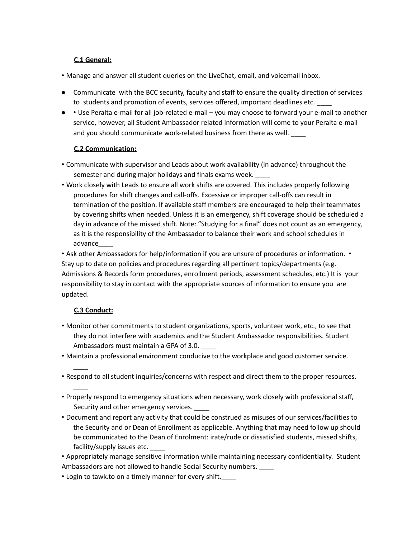# **C.1 General:**

- Manage and answer all student queries on the LiveChat, email, and voicemail inbox.
- Communicate with the BCC security, faculty and staff to ensure the quality direction of services to students and promotion of events, services offered, important deadlines etc.
- • Use Peralta e-mail for all job-related e-mail you may choose to forward your e-mail to another service, however, all Student Ambassador related information will come to your Peralta e-mail and you should communicate work-related business from there as well.

# **C.2 Communication:**

- Communicate with supervisor and Leads about work availability (in advance) throughout the semester and during major holidays and finals exams week.
- Work closely with Leads to ensure all work shifts are covered. This includes properly following procedures for shift changes and call-offs. Excessive or improper call-offs can result in termination of the position. If available staff members are encouraged to help their teammates by covering shifts when needed. Unless it is an emergency, shift coverage should be scheduled a day in advance of the missed shift. Note: "Studying for a final" does not count as an emergency, as it is the responsibility of the Ambassador to balance their work and school schedules in advance\_\_\_\_

• Ask other Ambassadors for help/information if you are unsure of procedures or information. • Stay up to date on policies and procedures regarding all pertinent topics/departments (e.g. Admissions & Records form procedures, enrollment periods, assessment schedules, etc.) It is your responsibility to stay in contact with the appropriate sources of information to ensure you are updated.

# **C.3 Conduct:**

 $\overline{\phantom{a}}$ 

 $\overline{\phantom{a}}$ 

- Monitor other commitments to student organizations, sports, volunteer work, etc., to see that they do not interfere with academics and the Student Ambassador responsibilities. Student Ambassadors must maintain a GPA of 3.0.
- Maintain a professional environment conducive to the workplace and good customer service.
- Respond to all student inquiries/concerns with respect and direct them to the proper resources.
- Properly respond to emergency situations when necessary, work closely with professional staff, Security and other emergency services.
- Document and report any activity that could be construed as misuses of our services/facilities to the Security and or Dean of Enrollment as applicable. Anything that may need follow up should be communicated to the Dean of Enrolment: irate/rude or dissatisfied students, missed shifts, facility/supply issues etc.
- Appropriately manage sensitive information while maintaining necessary confidentiality. Student Ambassadors are not allowed to handle Social Security numbers.
- Login to tawk.to on a timely manner for every shift.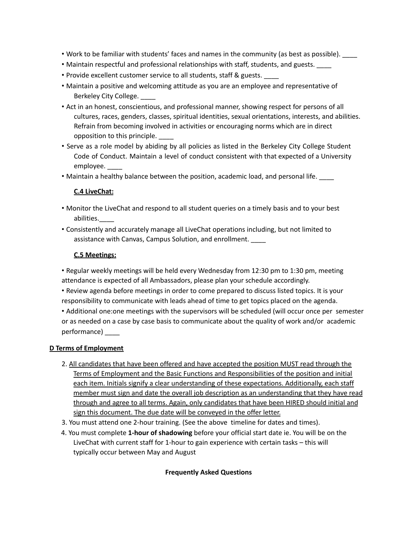- Work to be familiar with students' faces and names in the community (as best as possible).
- Maintain respectful and professional relationships with staff, students, and guests. \_\_\_\_
- Provide excellent customer service to all students, staff & guests. \_\_\_\_
- Maintain a positive and welcoming attitude as you are an employee and representative of Berkeley City College.
- Act in an honest, conscientious, and professional manner, showing respect for persons of all cultures, races, genders, classes, spiritual identities, sexual orientations, interests, and abilities. Refrain from becoming involved in activities or encouraging norms which are in direct opposition to this principle. \_\_\_\_
- Serve as a role model by abiding by all policies as listed in the Berkeley City College Student Code of Conduct. Maintain a level of conduct consistent with that expected of a University employee. \_\_\_\_
- Maintain a healthy balance between the position, academic load, and personal life. \_\_\_\_

### **C.4 LiveChat:**

- Monitor the LiveChat and respond to all student queries on a timely basis and to your best abilities.\_\_\_\_
- Consistently and accurately manage all LiveChat operations including, but not limited to assistance with Canvas, Campus Solution, and enrollment. \_\_\_\_

### **C.5 Meetings:**

• Regular weekly meetings will be held every Wednesday from 12:30 pm to 1:30 pm, meeting attendance is expected of all Ambassadors, please plan your schedule accordingly.

- Review agenda before meetings in order to come prepared to discuss listed topics. It is your responsibility to communicate with leads ahead of time to get topics placed on the agenda.
- Additional one:one meetings with the supervisors will be scheduled (will occur once per semester or as needed on a case by case basis to communicate about the quality of work and/or academic performance) \_\_\_\_

#### **D Terms of Employment**

- 2. All candidates that have been offered and have accepted the position MUST read through the Terms of Employment and the Basic Functions and Responsibilities of the position and initial each item. Initials signify a clear understanding of these expectations. Additionally, each staff member must sign and date the overall job description as an understanding that they have read through and agree to all terms. Again, only candidates that have been HIRED should initial and sign this document. The due date will be conveyed in the offer letter.
- 3. You must attend one 2-hour training. (See the above timeline for dates and times).
- 4. You must complete **1-hour of shadowing** before your official start date ie. You will be on the LiveChat with current staff for 1-hour to gain experience with certain tasks – this will typically occur between May and August

#### **Frequently Asked Questions**